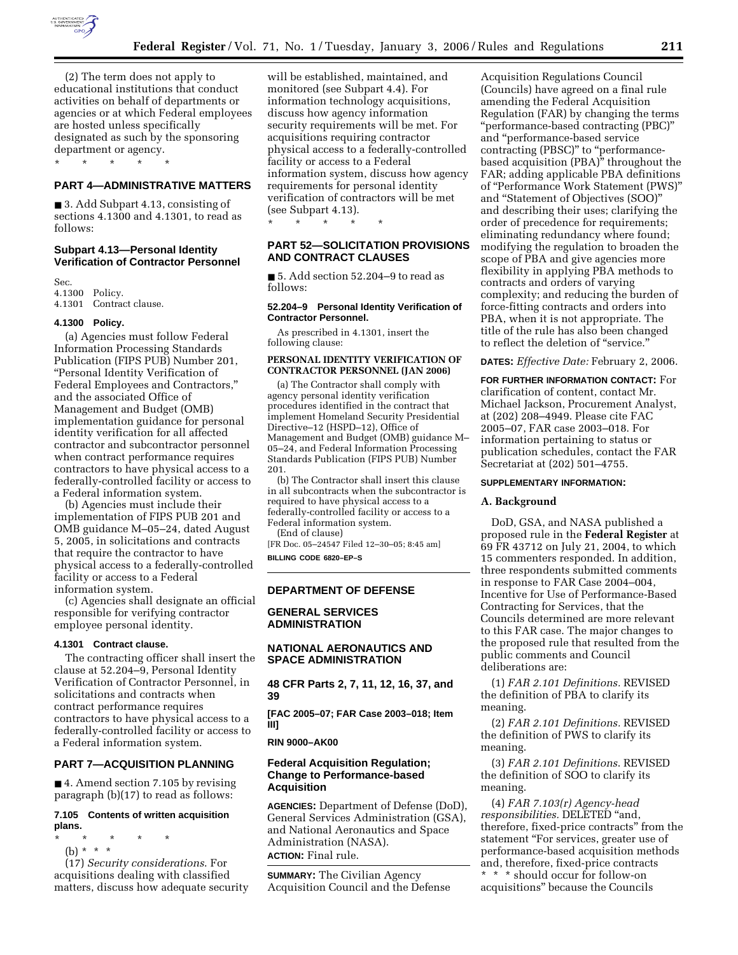

(2) The term does not apply to educational institutions that conduct activities on behalf of departments or agencies or at which Federal employees are hosted unless specifically designated as such by the sponsoring department or agency.

# **PART 4—ADMINISTRATIVE MATTERS**

■ 3. Add Subpart 4.13, consisting of sections 4.1300 and 4.1301, to read as follows:

### **Subpart 4.13—Personal Identity Verification of Contractor Personnel**

Sec. 4.1300 Policy. 4.1301 Contract clause.

\* \* \* \* \*

#### **4.1300 Policy.**

(a) Agencies must follow Federal Information Processing Standards Publication (FIPS PUB) Number 201, ''Personal Identity Verification of Federal Employees and Contractors,'' and the associated Office of Management and Budget (OMB) implementation guidance for personal identity verification for all affected contractor and subcontractor personnel when contract performance requires contractors to have physical access to a federally-controlled facility or access to a Federal information system.

(b) Agencies must include their implementation of FIPS PUB 201 and OMB guidance M–05–24, dated August 5, 2005, in solicitations and contracts that require the contractor to have physical access to a federally-controlled facility or access to a Federal information system.

(c) Agencies shall designate an official responsible for verifying contractor employee personal identity.

#### **4.1301 Contract clause.**

The contracting officer shall insert the clause at 52.204–9, Personal Identity Verification of Contractor Personnel, in solicitations and contracts when contract performance requires contractors to have physical access to a federally-controlled facility or access to a Federal information system.

### **PART 7—ACQUISITION PLANNING**

■ 4. Amend section 7.105 by revising paragraph (b)(17) to read as follows:

# **7.105 Contents of written acquisition plans.**

- \* \* \* \* \*
	- (b) \* \* \*

(17) *Security considerations*. For acquisitions dealing with classified matters, discuss how adequate security will be established, maintained, and monitored (see Subpart 4.4). For information technology acquisitions, discuss how agency information security requirements will be met. For acquisitions requiring contractor physical access to a federally-controlled facility or access to a Federal information system, discuss how agency requirements for personal identity verification of contractors will be met (see Subpart 4.13).

**PART 52—SOLICITATION PROVISIONS AND CONTRACT CLAUSES** 

\* \* \* \* \*

■ 5. Add section 52.204–9 to read as follows:

#### **52.204–9 Personal Identity Verification of Contractor Personnel.**

As prescribed in 4.1301, insert the following clause:

### **PERSONAL IDENTITY VERIFICATION OF CONTRACTOR PERSONNEL (JAN 2006)**

(a) The Contractor shall comply with agency personal identity verification procedures identified in the contract that implement Homeland Security Presidential Directive–12 (HSPD–12), Office of Management and Budget (OMB) guidance M– 05–24, and Federal Information Processing Standards Publication (FIPS PUB) Number 201.

(b) The Contractor shall insert this clause in all subcontracts when the subcontractor is required to have physical access to a federally-controlled facility or access to a Federal information system. (End of clause)

[FR Doc. 05–24547 Filed 12–30–05; 8:45 am] **BILLING CODE 6820–EP–S** 

### **DEPARTMENT OF DEFENSE**

### **GENERAL SERVICES ADMINISTRATION**

# **NATIONAL AERONAUTICS AND SPACE ADMINISTRATION**

**48 CFR Parts 2, 7, 11, 12, 16, 37, and 39** 

**[FAC 2005–07; FAR Case 2003–018; Item III]** 

**RIN 9000–AK00** 

# **Federal Acquisition Regulation; Change to Performance-based Acquisition**

**AGENCIES:** Department of Defense (DoD), General Services Administration (GSA), and National Aeronautics and Space Administration (NASA). **ACTION:** Final rule.

**SUMMARY:** The Civilian Agency Acquisition Council and the Defense

Acquisition Regulations Council (Councils) have agreed on a final rule amending the Federal Acquisition Regulation (FAR) by changing the terms ''performance-based contracting (PBC)'' and ''performance-based service contracting (PBSC)" to "performancebased acquisition (PBA)'' throughout the FAR; adding applicable PBA definitions of ''Performance Work Statement (PWS)'' and ''Statement of Objectives (SOO)'' and describing their uses; clarifying the order of precedence for requirements; eliminating redundancy where found; modifying the regulation to broaden the scope of PBA and give agencies more flexibility in applying PBA methods to contracts and orders of varying complexity; and reducing the burden of force-fitting contracts and orders into PBA, when it is not appropriate. The title of the rule has also been changed to reflect the deletion of "service."

**DATES:** *Effective Date:* February 2, 2006.

**FOR FURTHER INFORMATION CONTACT:** For clarification of content, contact Mr. Michael Jackson, Procurement Analyst, at (202) 208–4949. Please cite FAC 2005–07, FAR case 2003–018. For information pertaining to status or publication schedules, contact the FAR Secretariat at (202) 501–4755.

#### **SUPPLEMENTARY INFORMATION:**

### **A. Background**

DoD, GSA, and NASA published a proposed rule in the **Federal Register** at 69 FR 43712 on July 21, 2004, to which 15 commenters responded. In addition, three respondents submitted comments in response to FAR Case 2004–004, Incentive for Use of Performance-Based Contracting for Services, that the Councils determined are more relevant to this FAR case. The major changes to the proposed rule that resulted from the public comments and Council deliberations are:

(1) *FAR 2.101 Definitions.* REVISED the definition of PBA to clarify its meaning.

(2) *FAR 2.101 Definitions.* REVISED the definition of PWS to clarify its meaning.

(3) *FAR 2.101 Definitions*. REVISED the definition of SOO to clarify its meaning.

(4) *FAR 7.103(r) Agency-head responsibilities.* DELETED ''and, therefore, fixed-price contracts'' from the statement ''For services, greater use of performance-based acquisition methods and, therefore, fixed-price contracts \* \* \* should occur for follow-on acquisitions'' because the Councils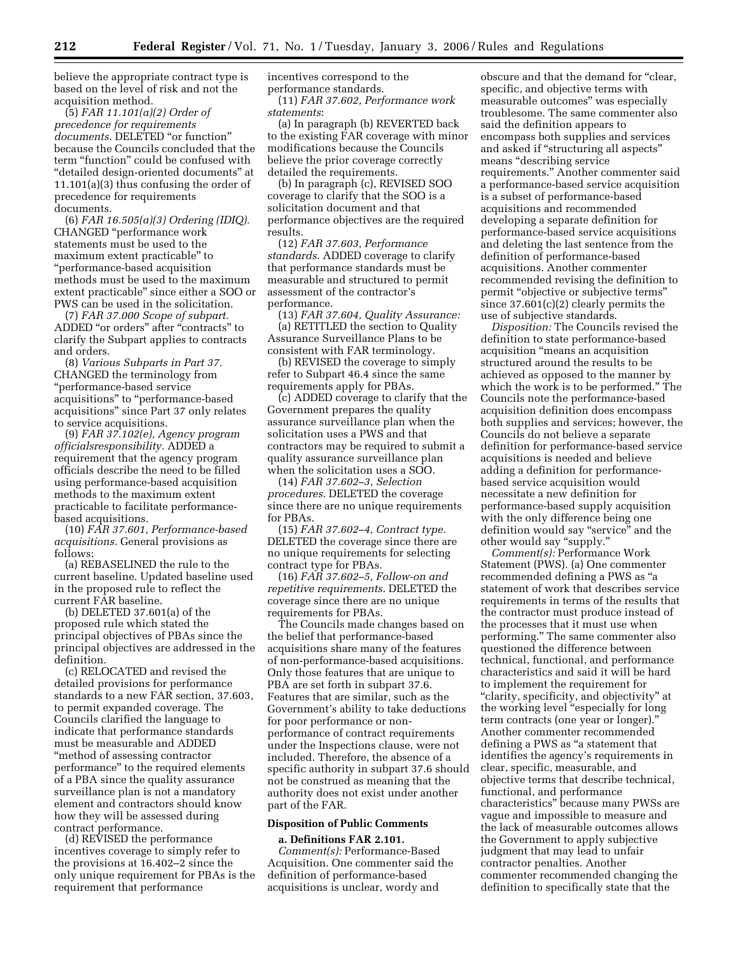believe the appropriate contract type is based on the level of risk and not the acquisition method.

(5) *FAR 11.101(a)(2) Order of precedence for requirements*  documents. DELETED "or function" because the Councils concluded that the term "function" could be confused with ''detailed design-oriented documents'' at 11.101(a)(3) thus confusing the order of precedence for requirements documents.

(6) *FAR 16.505(a)(3) Ordering (IDIQ).*  CHANGED ''performance work statements must be used to the maximum extent practicable'' to ''performance-based acquisition methods must be used to the maximum extent practicable'' since either a SOO or PWS can be used in the solicitation.

(7) *FAR 37.000 Scope of subpart.*  ADDED "or orders" after "contracts" to clarify the Subpart applies to contracts and orders.

(8) *Various Subparts in Part 37.*  CHANGED the terminology from ''performance-based service acquisitions'' to ''performance-based acquisitions'' since Part 37 only relates to service acquisitions.

(9) *FAR 37.102(e), Agency program officialsresponsibility.* ADDED a requirement that the agency program officials describe the need to be filled using performance-based acquisition methods to the maximum extent practicable to facilitate performancebased acquisitions.

(10) *FAR 37.601, Performance-based acquisitions.* General provisions as follows:

(a) REBASELINED the rule to the current baseline. Updated baseline used in the proposed rule to reflect the current FAR baseline.

(b) DELETED 37.601(a) of the proposed rule which stated the principal objectives of PBAs since the principal objectives are addressed in the definition.

(c) RELOCATED and revised the detailed provisions for performance standards to a new FAR section, 37.603, to permit expanded coverage. The Councils clarified the language to indicate that performance standards must be measurable and ADDED ''method of assessing contractor performance'' to the required elements of a PBA since the quality assurance surveillance plan is not a mandatory element and contractors should know how they will be assessed during contract performance.

(d) REVISED the performance incentives coverage to simply refer to the provisions at 16.402–2 since the only unique requirement for PBAs is the requirement that performance

incentives correspond to the performance standards.

(11) *FAR 37.602, Performance work statements*:

(a) In paragraph (b) REVERTED back to the existing FAR coverage with minor modifications because the Councils believe the prior coverage correctly detailed the requirements.

(b) In paragraph (c), REVISED SOO coverage to clarify that the SOO is a solicitation document and that performance objectives are the required results.

(12) *FAR 37.603, Performance standards.* ADDED coverage to clarify that performance standards must be measurable and structured to permit assessment of the contractor's performance.

(13) *FAR 37.604, Quality Assurance:*  (a) RETITLED the section to Quality Assurance Surveillance Plans to be consistent with FAR terminology.

(b) REVISED the coverage to simply refer to Subpart 46.4 since the same requirements apply for PBAs.

(c) ADDED coverage to clarify that the Government prepares the quality assurance surveillance plan when the solicitation uses a PWS and that contractors may be required to submit a quality assurance surveillance plan when the solicitation uses a SOO.

(14) *FAR 37.602–3, Selection procedures.* DELETED the coverage since there are no unique requirements for PBAs.

(15) *FAR 37.602–4, Contract type.*  DELETED the coverage since there are no unique requirements for selecting contract type for PBAs.

(16) *FAR 37.602–5, Follow-on and repetitive requirements.* DELETED the coverage since there are no unique requirements for PBAs.

The Councils made changes based on the belief that performance-based acquisitions share many of the features of non-performance-based acquisitions. Only those features that are unique to PBA are set forth in subpart 37.6. Features that are similar, such as the Government's ability to take deductions for poor performance or nonperformance of contract requirements under the Inspections clause, were not included. Therefore, the absence of a specific authority in subpart 37.6 should not be construed as meaning that the authority does not exist under another part of the FAR.

## **Disposition of Public Comments**

# **a. Definitions FAR 2.101.**

*Comment(s):* Performance-Based Acquisition. One commenter said the definition of performance-based acquisitions is unclear, wordy and

obscure and that the demand for ''clear, specific, and objective terms with measurable outcomes'' was especially troublesome. The same commenter also said the definition appears to encompass both supplies and services and asked if ''structuring all aspects'' means ''describing service requirements.'' Another commenter said a performance-based service acquisition is a subset of performance-based acquisitions and recommended developing a separate definition for performance-based service acquisitions and deleting the last sentence from the definition of performance-based acquisitions. Another commenter recommended revising the definition to permit "objective or subjective terms" since 37.601(c)(2) clearly permits the use of subjective standards.

*Disposition:* The Councils revised the definition to state performance-based acquisition ''means an acquisition structured around the results to be achieved as opposed to the manner by which the work is to be performed.'' The Councils note the performance-based acquisition definition does encompass both supplies and services; however, the Councils do not believe a separate definition for performance-based service acquisitions is needed and believe adding a definition for performancebased service acquisition would necessitate a new definition for performance-based supply acquisition with the only difference being one definition would say ''service'' and the other would say "supply."

*Comment(s):* Performance Work Statement (PWS). (a) One commenter recommended defining a PWS as ''a statement of work that describes service requirements in terms of the results that the contractor must produce instead of the processes that it must use when performing.'' The same commenter also questioned the difference between technical, functional, and performance characteristics and said it will be hard to implement the requirement for ''clarity, specificity, and objectivity'' at the working level "especially for long" term contracts (one year or longer).'' Another commenter recommended defining a PWS as ''a statement that identifies the agency's requirements in clear, specific, measurable, and objective terms that describe technical, functional, and performance characteristics'' because many PWSs are vague and impossible to measure and the lack of measurable outcomes allows the Government to apply subjective judgment that may lead to unfair contractor penalties. Another commenter recommended changing the definition to specifically state that the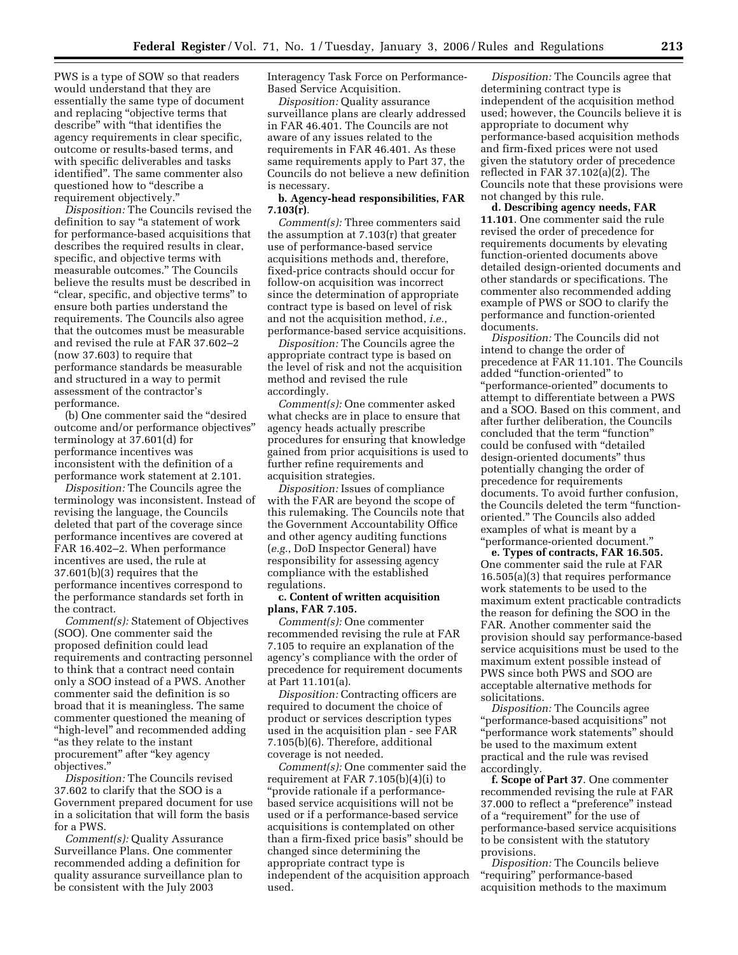PWS is a type of SOW so that readers would understand that they are essentially the same type of document and replacing ''objective terms that describe'' with ''that identifies the agency requirements in clear specific, outcome or results-based terms, and with specific deliverables and tasks identified''. The same commenter also questioned how to ''describe a requirement objectively.''

*Disposition:* The Councils revised the definition to say ''a statement of work for performance-based acquisitions that describes the required results in clear, specific, and objective terms with measurable outcomes.'' The Councils believe the results must be described in ''clear, specific, and objective terms'' to ensure both parties understand the requirements. The Councils also agree that the outcomes must be measurable and revised the rule at FAR 37.602–2 (now 37.603) to require that performance standards be measurable and structured in a way to permit assessment of the contractor's performance.

(b) One commenter said the ''desired outcome and/or performance objectives'' terminology at 37.601(d) for performance incentives was inconsistent with the definition of a performance work statement at 2.101.

*Disposition:* The Councils agree the terminology was inconsistent. Instead of revising the language, the Councils deleted that part of the coverage since performance incentives are covered at FAR 16.402–2. When performance incentives are used, the rule at 37.601(b)(3) requires that the performance incentives correspond to the performance standards set forth in the contract.

*Comment(s):* Statement of Objectives (SOO). One commenter said the proposed definition could lead requirements and contracting personnel to think that a contract need contain only a SOO instead of a PWS. Another commenter said the definition is so broad that it is meaningless. The same commenter questioned the meaning of "high-level" and recommended adding ''as they relate to the instant procurement" after "key agency objectives.''

*Disposition:* The Councils revised 37.602 to clarify that the SOO is a Government prepared document for use in a solicitation that will form the basis for a PWS.

*Comment(s):* Quality Assurance Surveillance Plans. One commenter recommended adding a definition for quality assurance surveillance plan to be consistent with the July 2003

Interagency Task Force on Performance-Based Service Acquisition.

*Disposition:* Quality assurance surveillance plans are clearly addressed in FAR 46.401. The Councils are not aware of any issues related to the requirements in FAR 46.401. As these same requirements apply to Part 37, the Councils do not believe a new definition is necessary.

# **b. Agency-head responsibilities, FAR 7.103(r)**.

*Comment(s):* Three commenters said the assumption at 7.103(r) that greater use of performance-based service acquisitions methods and, therefore, fixed-price contracts should occur for follow-on acquisition was incorrect since the determination of appropriate contract type is based on level of risk and not the acquisition method, *i.e.*, performance-based service acquisitions.

*Disposition:* The Councils agree the appropriate contract type is based on the level of risk and not the acquisition method and revised the rule accordingly.

*Comment(s):* One commenter asked what checks are in place to ensure that agency heads actually prescribe procedures for ensuring that knowledge gained from prior acquisitions is used to further refine requirements and acquisition strategies.

*Disposition:* Issues of compliance with the FAR are beyond the scope of this rulemaking. The Councils note that the Government Accountability Office and other agency auditing functions (*e.g.*, DoD Inspector General) have responsibility for assessing agency compliance with the established regulations.

### **c. Content of written acquisition plans, FAR 7.105.**

*Comment(s):* One commenter recommended revising the rule at FAR 7.105 to require an explanation of the agency's compliance with the order of precedence for requirement documents at Part 11.101(a).

*Disposition:* Contracting officers are required to document the choice of product or services description types used in the acquisition plan - see FAR 7.105(b)(6). Therefore, additional coverage is not needed.

*Comment(s):* One commenter said the requirement at FAR 7.105(b)(4)(i) to ''provide rationale if a performancebased service acquisitions will not be used or if a performance-based service acquisitions is contemplated on other than a firm-fixed price basis'' should be changed since determining the appropriate contract type is independent of the acquisition approach used.

*Disposition:* The Councils agree that determining contract type is independent of the acquisition method used; however, the Councils believe it is appropriate to document why performance-based acquisition methods and firm-fixed prices were not used given the statutory order of precedence reflected in FAR 37.102(a)(2). The Councils note that these provisions were not changed by this rule.

**d. Describing agency needs, FAR 11.101**. One commenter said the rule revised the order of precedence for requirements documents by elevating function-oriented documents above detailed design-oriented documents and other standards or specifications. The commenter also recommended adding example of PWS or SOO to clarify the performance and function-oriented documents.

*Disposition:* The Councils did not intend to change the order of precedence at FAR 11.101. The Councils added ''function-oriented'' to ''performance-oriented'' documents to attempt to differentiate between a PWS and a SOO. Based on this comment, and after further deliberation, the Councils concluded that the term ''function'' could be confused with ''detailed design-oriented documents'' thus potentially changing the order of precedence for requirements documents. To avoid further confusion, the Councils deleted the term ''functionoriented.'' The Councils also added examples of what is meant by a ''performance-oriented document.''

**e. Types of contracts, FAR 16.505.**  One commenter said the rule at FAR 16.505(a)(3) that requires performance work statements to be used to the maximum extent practicable contradicts the reason for defining the SOO in the FAR. Another commenter said the provision should say performance-based service acquisitions must be used to the maximum extent possible instead of PWS since both PWS and SOO are acceptable alternative methods for solicitations.

*Disposition:* The Councils agree ''performance-based acquisitions'' not 'performance work statements" should be used to the maximum extent practical and the rule was revised accordingly.

**f. Scope of Part 37**. One commenter recommended revising the rule at FAR 37.000 to reflect a ''preference'' instead of a ''requirement'' for the use of performance-based service acquisitions to be consistent with the statutory provisions.

*Disposition:* The Councils believe ''requiring'' performance-based acquisition methods to the maximum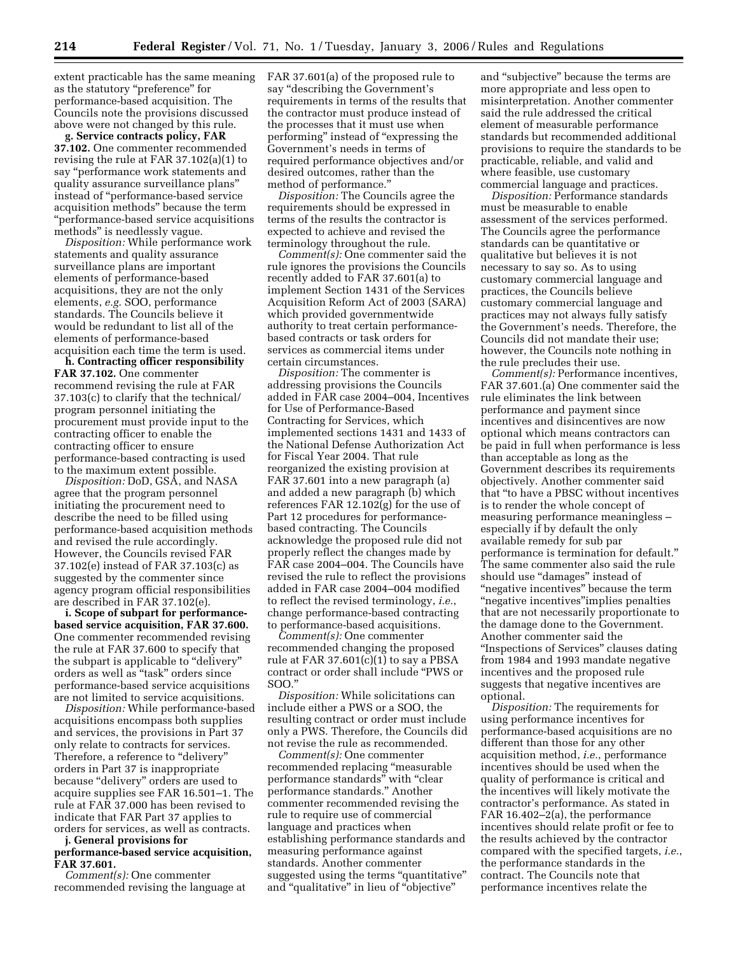extent practicable has the same meaning as the statutory ''preference'' for performance-based acquisition. The Councils note the provisions discussed above were not changed by this rule.

**g. Service contracts policy, FAR 37.102.** One commenter recommended revising the rule at FAR 37.102(a)(1) to say ''performance work statements and quality assurance surveillance plans'' instead of ''performance-based service acquisition methods'' because the term ''performance-based service acquisitions methods'' is needlessly vague.

*Disposition:* While performance work statements and quality assurance surveillance plans are important elements of performance-based acquisitions, they are not the only elements, *e.g.* SOO, performance standards. The Councils believe it would be redundant to list all of the elements of performance-based acquisition each time the term is used.

**h. Contracting officer responsibility FAR 37.102.** One commenter recommend revising the rule at FAR 37.103(c) to clarify that the technical/ program personnel initiating the procurement must provide input to the contracting officer to enable the contracting officer to ensure performance-based contracting is used to the maximum extent possible.

*Disposition:* DoD, GSA, and NASA agree that the program personnel initiating the procurement need to describe the need to be filled using performance-based acquisition methods and revised the rule accordingly. However, the Councils revised FAR 37.102(e) instead of FAR 37.103(c) as suggested by the commenter since agency program official responsibilities are described in FAR 37.102(e).

**i. Scope of subpart for performancebased service acquisition, FAR 37.600.**  One commenter recommended revising the rule at FAR 37.600 to specify that the subpart is applicable to "delivery" orders as well as ''task'' orders since performance-based service acquisitions are not limited to service acquisitions.

*Disposition:* While performance-based acquisitions encompass both supplies and services, the provisions in Part 37 only relate to contracts for services. Therefore, a reference to "delivery' orders in Part 37 is inappropriate because ''delivery'' orders are used to acquire supplies see FAR 16.501–1. The rule at FAR 37.000 has been revised to indicate that FAR Part 37 applies to orders for services, as well as contracts.

### **j. General provisions for performance-based service acquisition, FAR 37.601.**

*Comment(s):* One commenter recommended revising the language at FAR 37.601(a) of the proposed rule to say ''describing the Government's requirements in terms of the results that the contractor must produce instead of the processes that it must use when performing'' instead of ''expressing the Government's needs in terms of required performance objectives and/or desired outcomes, rather than the method of performance.''

*Disposition:* The Councils agree the requirements should be expressed in terms of the results the contractor is expected to achieve and revised the terminology throughout the rule.

*Comment(s):* One commenter said the rule ignores the provisions the Councils recently added to FAR 37.601(a) to implement Section 1431 of the Services Acquisition Reform Act of 2003 (SARA) which provided governmentwide authority to treat certain performancebased contracts or task orders for services as commercial items under certain circumstances.

*Disposition:* The commenter is addressing provisions the Councils added in FAR case 2004–004, Incentives for Use of Performance-Based Contracting for Services, which implemented sections 1431 and 1433 of the National Defense Authorization Act for Fiscal Year 2004. That rule reorganized the existing provision at FAR 37.601 into a new paragraph (a) and added a new paragraph (b) which references FAR 12.102(g) for the use of Part 12 procedures for performancebased contracting. The Councils acknowledge the proposed rule did not properly reflect the changes made by FAR case 2004–004. The Councils have revised the rule to reflect the provisions added in FAR case 2004–004 modified to reflect the revised terminology, *i.e.*, change performance-based contracting to performance-based acquisitions.

*Comment(s):* One commenter recommended changing the proposed rule at FAR 37.601(c)(1) to say a PBSA contract or order shall include ''PWS or SOO.''

*Disposition:* While solicitations can include either a PWS or a SOO, the resulting contract or order must include only a PWS. Therefore, the Councils did not revise the rule as recommended.

*Comment(s):* One commenter recommended replacing ''measurable performance standards'' with ''clear performance standards.'' Another commenter recommended revising the rule to require use of commercial language and practices when establishing performance standards and measuring performance against standards. Another commenter suggested using the terms "quantitative" and ''qualitative'' in lieu of ''objective''

and ''subjective'' because the terms are more appropriate and less open to misinterpretation. Another commenter said the rule addressed the critical element of measurable performance standards but recommended additional provisions to require the standards to be practicable, reliable, and valid and where feasible, use customary commercial language and practices.

*Disposition:* Performance standards must be measurable to enable assessment of the services performed. The Councils agree the performance standards can be quantitative or qualitative but believes it is not necessary to say so. As to using customary commercial language and practices, the Councils believe customary commercial language and practices may not always fully satisfy the Government's needs. Therefore, the Councils did not mandate their use; however, the Councils note nothing in the rule precludes their use.

*Comment(s):* Performance incentives, FAR 37.601.(a) One commenter said the rule eliminates the link between performance and payment since incentives and disincentives are now optional which means contractors can be paid in full when performance is less than acceptable as long as the Government describes its requirements objectively. Another commenter said that ''to have a PBSC without incentives is to render the whole concept of measuring performance meaningless – especially if by default the only available remedy for sub par performance is termination for default.'' The same commenter also said the rule should use "damages" instead of "negative incentives" because the term ''negative incentives''implies penalties that are not necessarily proportionate to the damage done to the Government. Another commenter said the ''Inspections of Services'' clauses dating from 1984 and 1993 mandate negative incentives and the proposed rule suggests that negative incentives are optional.

*Disposition:* The requirements for using performance incentives for performance-based acquisitions are no different than those for any other acquisition method, *i.e.*, performance incentives should be used when the quality of performance is critical and the incentives will likely motivate the contractor's performance. As stated in FAR 16.402–2(a), the performance incentives should relate profit or fee to the results achieved by the contractor compared with the specified targets, *i.e.*, the performance standards in the contract. The Councils note that performance incentives relate the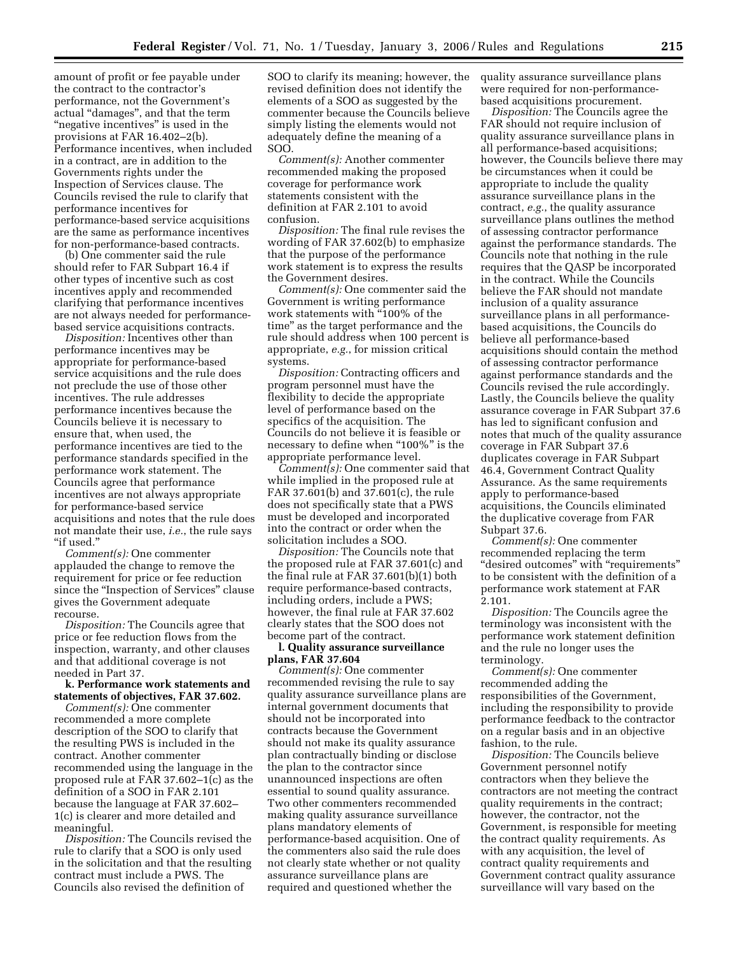amount of profit or fee payable under the contract to the contractor's performance, not the Government's actual ''damages'', and that the term "negative incentives" is used in the provisions at FAR 16.402–2(b). Performance incentives, when included in a contract, are in addition to the Governments rights under the Inspection of Services clause. The Councils revised the rule to clarify that performance incentives for performance-based service acquisitions are the same as performance incentives for non-performance-based contracts.

(b) One commenter said the rule should refer to FAR Subpart 16.4 if other types of incentive such as cost incentives apply and recommended clarifying that performance incentives are not always needed for performancebased service acquisitions contracts.

*Disposition:* Incentives other than performance incentives may be appropriate for performance-based service acquisitions and the rule does not preclude the use of those other incentives. The rule addresses performance incentives because the Councils believe it is necessary to ensure that, when used, the performance incentives are tied to the performance standards specified in the performance work statement. The Councils agree that performance incentives are not always appropriate for performance-based service acquisitions and notes that the rule does not mandate their use, *i.e.*, the rule says ''if used.''

*Comment(s):* One commenter applauded the change to remove the requirement for price or fee reduction since the "Inspection of Services" clause gives the Government adequate recourse.

*Disposition:* The Councils agree that price or fee reduction flows from the inspection, warranty, and other clauses and that additional coverage is not needed in Part 37.

**k. Performance work statements and statements of objectives, FAR 37.602.** 

*Comment(s):* One commenter recommended a more complete description of the SOO to clarify that the resulting PWS is included in the contract. Another commenter recommended using the language in the proposed rule at FAR 37.602–1(c) as the definition of a SOO in FAR 2.101 because the language at FAR 37.602– 1(c) is clearer and more detailed and meaningful.

*Disposition:* The Councils revised the rule to clarify that a SOO is only used in the solicitation and that the resulting contract must include a PWS. The Councils also revised the definition of

SOO to clarify its meaning; however, the revised definition does not identify the elements of a SOO as suggested by the commenter because the Councils believe simply listing the elements would not adequately define the meaning of a SOO.

*Comment(s):* Another commenter recommended making the proposed coverage for performance work statements consistent with the definition at FAR 2.101 to avoid confusion.

*Disposition:* The final rule revises the wording of FAR 37.602(b) to emphasize that the purpose of the performance work statement is to express the results the Government desires.

*Comment(s):* One commenter said the Government is writing performance work statements with ''100% of the time'' as the target performance and the rule should address when 100 percent is appropriate, *e.g.*, for mission critical systems.

*Disposition:* Contracting officers and program personnel must have the flexibility to decide the appropriate level of performance based on the specifics of the acquisition. The Councils do not believe it is feasible or necessary to define when "100%" is the appropriate performance level.

*Comment(s):* One commenter said that while implied in the proposed rule at FAR 37.601(b) and 37.601(c), the rule does not specifically state that a PWS must be developed and incorporated into the contract or order when the solicitation includes a SOO.

*Disposition:* The Councils note that the proposed rule at FAR 37.601(c) and the final rule at FAR 37.601(b)(1) both require performance-based contracts, including orders, include a PWS; however, the final rule at FAR 37.602 clearly states that the SOO does not become part of the contract.

### **l. Quality assurance surveillance plans, FAR 37.604**

*Comment(s):* One commenter recommended revising the rule to say quality assurance surveillance plans are internal government documents that should not be incorporated into contracts because the Government should not make its quality assurance plan contractually binding or disclose the plan to the contractor since unannounced inspections are often essential to sound quality assurance. Two other commenters recommended making quality assurance surveillance plans mandatory elements of performance-based acquisition. One of the commenters also said the rule does not clearly state whether or not quality assurance surveillance plans are required and questioned whether the

quality assurance surveillance plans were required for non-performancebased acquisitions procurement.

*Disposition:* The Councils agree the FAR should not require inclusion of quality assurance surveillance plans in all performance-based acquisitions; however, the Councils believe there may be circumstances when it could be appropriate to include the quality assurance surveillance plans in the contract, *e.g.*, the quality assurance surveillance plans outlines the method of assessing contractor performance against the performance standards. The Councils note that nothing in the rule requires that the QASP be incorporated in the contract. While the Councils believe the FAR should not mandate inclusion of a quality assurance surveillance plans in all performancebased acquisitions, the Councils do believe all performance-based acquisitions should contain the method of assessing contractor performance against performance standards and the Councils revised the rule accordingly. Lastly, the Councils believe the quality assurance coverage in FAR Subpart 37.6 has led to significant confusion and notes that much of the quality assurance coverage in FAR Subpart 37.6 duplicates coverage in FAR Subpart 46.4, Government Contract Quality Assurance. As the same requirements apply to performance-based acquisitions, the Councils eliminated the duplicative coverage from FAR Subpart 37.6.

*Comment(s):* One commenter recommended replacing the term ''desired outcomes'' with ''requirements'' to be consistent with the definition of a performance work statement at FAR 2.101.

*Disposition:* The Councils agree the terminology was inconsistent with the performance work statement definition and the rule no longer uses the terminology.

*Comment(s):* One commenter recommended adding the responsibilities of the Government, including the responsibility to provide performance feedback to the contractor on a regular basis and in an objective fashion, to the rule.

*Disposition:* The Councils believe Government personnel notify contractors when they believe the contractors are not meeting the contract quality requirements in the contract; however, the contractor, not the Government, is responsible for meeting the contract quality requirements. As with any acquisition, the level of contract quality requirements and Government contract quality assurance surveillance will vary based on the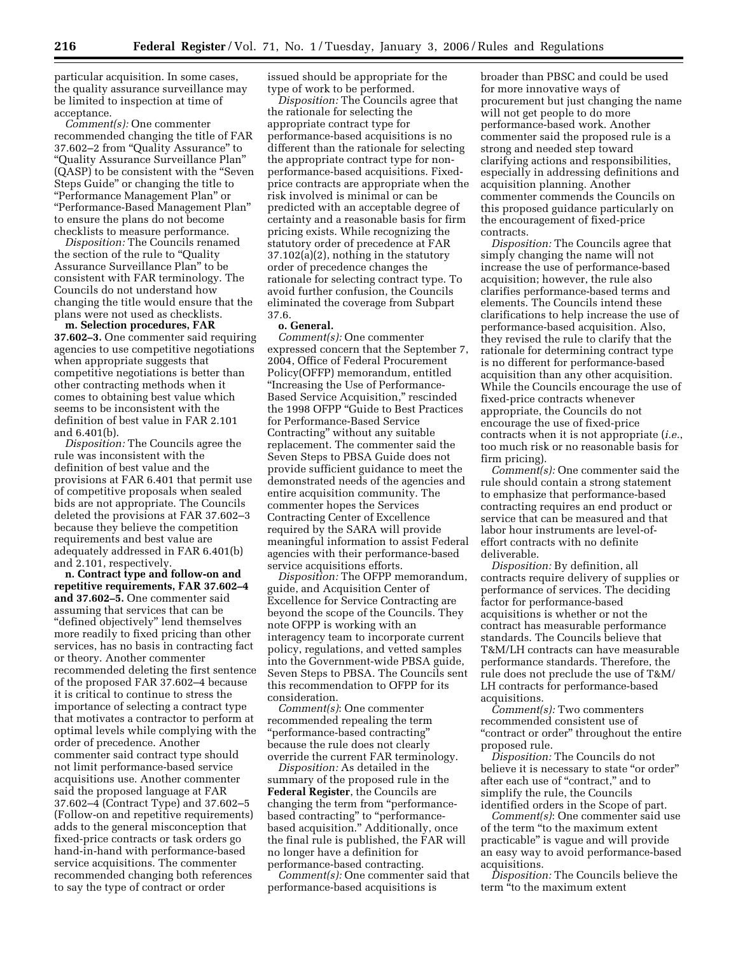particular acquisition. In some cases, the quality assurance surveillance may be limited to inspection at time of acceptance.

*Comment(s):* One commenter recommended changing the title of FAR 37.602–2 from ''Quality Assurance'' to ''Quality Assurance Surveillance Plan'' (QASP) to be consistent with the ''Seven Steps Guide'' or changing the title to ''Performance Management Plan'' or ''Performance-Based Management Plan'' to ensure the plans do not become checklists to measure performance.

*Disposition:* The Councils renamed the section of the rule to ''Quality Assurance Surveillance Plan'' to be consistent with FAR terminology. The Councils do not understand how changing the title would ensure that the plans were not used as checklists.

**m. Selection procedures, FAR 37.602–3.** One commenter said requiring agencies to use competitive negotiations when appropriate suggests that competitive negotiations is better than other contracting methods when it comes to obtaining best value which seems to be inconsistent with the definition of best value in FAR 2.101 and 6.401(b).

*Disposition:* The Councils agree the rule was inconsistent with the definition of best value and the provisions at FAR 6.401 that permit use of competitive proposals when sealed bids are not appropriate. The Councils deleted the provisions at FAR 37.602–3 because they believe the competition requirements and best value are adequately addressed in FAR 6.401(b) and 2.101, respectively.

**n. Contract type and follow-on and repetitive requirements, FAR 37.602–4 and 37.602–5.** One commenter said assuming that services that can be ''defined objectively'' lend themselves more readily to fixed pricing than other services, has no basis in contracting fact or theory. Another commenter recommended deleting the first sentence of the proposed FAR 37.602–4 because it is critical to continue to stress the importance of selecting a contract type that motivates a contractor to perform at optimal levels while complying with the order of precedence. Another commenter said contract type should not limit performance-based service acquisitions use. Another commenter said the proposed language at FAR 37.602–4 (Contract Type) and 37.602–5 (Follow-on and repetitive requirements) adds to the general misconception that fixed-price contracts or task orders go hand-in-hand with performance-based service acquisitions. The commenter recommended changing both references to say the type of contract or order

issued should be appropriate for the type of work to be performed.

*Disposition:* The Councils agree that the rationale for selecting the appropriate contract type for performance-based acquisitions is no different than the rationale for selecting the appropriate contract type for nonperformance-based acquisitions. Fixedprice contracts are appropriate when the risk involved is minimal or can be predicted with an acceptable degree of certainty and a reasonable basis for firm pricing exists. While recognizing the statutory order of precedence at FAR 37.102(a)(2), nothing in the statutory order of precedence changes the rationale for selecting contract type. To avoid further confusion, the Councils eliminated the coverage from Subpart 37.6.

#### **o. General.**

*Comment(s):* One commenter expressed concern that the September 7, 2004, Office of Federal Procurement Policy(OFFP) memorandum, entitled ''Increasing the Use of Performance-Based Service Acquisition,'' rescinded the 1998 OFPP ''Guide to Best Practices for Performance-Based Service Contracting'' without any suitable replacement. The commenter said the Seven Steps to PBSA Guide does not provide sufficient guidance to meet the demonstrated needs of the agencies and entire acquisition community. The commenter hopes the Services Contracting Center of Excellence required by the SARA will provide meaningful information to assist Federal agencies with their performance-based service acquisitions efforts.

*Disposition:* The OFPP memorandum, guide, and Acquisition Center of Excellence for Service Contracting are beyond the scope of the Councils. They note OFPP is working with an interagency team to incorporate current policy, regulations, and vetted samples into the Government-wide PBSA guide, Seven Steps to PBSA. The Councils sent this recommendation to OFPP for its consideration.

*Comment(s)*: One commenter recommended repealing the term ''performance-based contracting'' because the rule does not clearly override the current FAR terminology.

*Disposition:* As detailed in the summary of the proposed rule in the **Federal Register**, the Councils are changing the term from ''performancebased contracting" to "performancebased acquisition.'' Additionally, once the final rule is published, the FAR will no longer have a definition for performance-based contracting.

*Comment(s):* One commenter said that performance-based acquisitions is

broader than PBSC and could be used for more innovative ways of procurement but just changing the name will not get people to do more performance-based work. Another commenter said the proposed rule is a strong and needed step toward clarifying actions and responsibilities, especially in addressing definitions and acquisition planning. Another commenter commends the Councils on this proposed guidance particularly on the encouragement of fixed-price contracts.

*Disposition:* The Councils agree that simply changing the name will not increase the use of performance-based acquisition; however, the rule also clarifies performance-based terms and elements. The Councils intend these clarifications to help increase the use of performance-based acquisition. Also, they revised the rule to clarify that the rationale for determining contract type is no different for performance-based acquisition than any other acquisition. While the Councils encourage the use of fixed-price contracts whenever appropriate, the Councils do not encourage the use of fixed-price contracts when it is not appropriate (*i.e.*, too much risk or no reasonable basis for firm pricing).

*Comment(s):* One commenter said the rule should contain a strong statement to emphasize that performance-based contracting requires an end product or service that can be measured and that labor hour instruments are level-ofeffort contracts with no definite deliverable.

*Disposition:* By definition, all contracts require delivery of supplies or performance of services. The deciding factor for performance-based acquisitions is whether or not the contract has measurable performance standards. The Councils believe that T&M/LH contracts can have measurable performance standards. Therefore, the rule does not preclude the use of T&M/ LH contracts for performance-based acquisitions.

*Comment(s):* Two commenters recommended consistent use of ''contract or order'' throughout the entire proposed rule.

*Disposition:* The Councils do not believe it is necessary to state "or order" after each use of ''contract,'' and to simplify the rule, the Councils identified orders in the Scope of part.

*Comment(s)*: One commenter said use of the term ''to the maximum extent practicable'' is vague and will provide an easy way to avoid performance-based acquisitions.

*Disposition:* The Councils believe the term ''to the maximum extent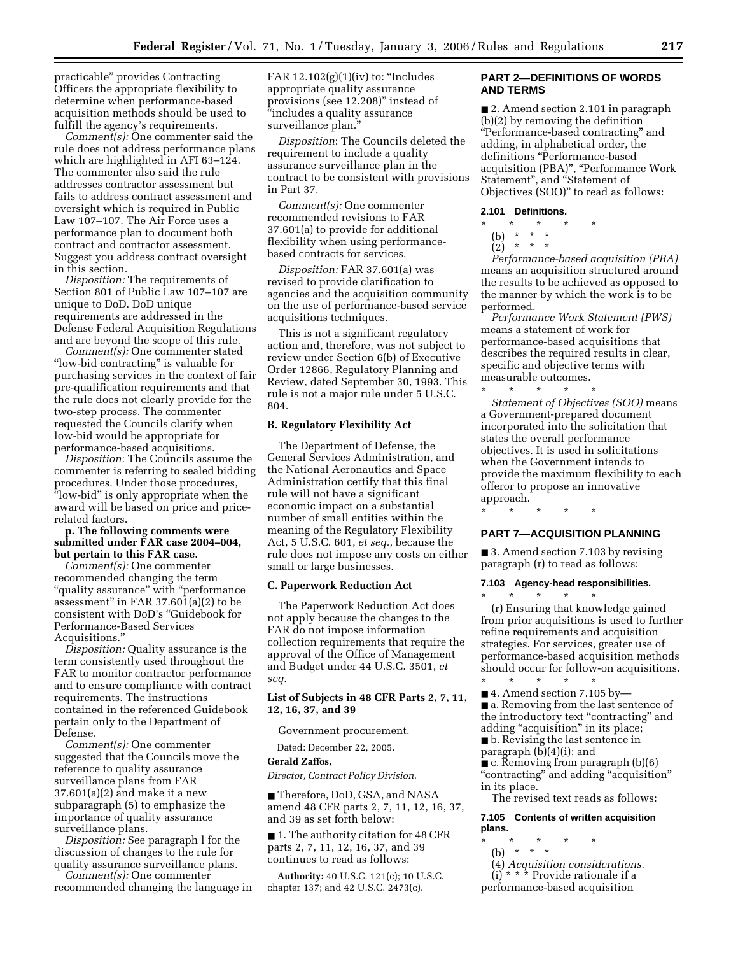practicable'' provides Contracting Officers the appropriate flexibility to determine when performance-based acquisition methods should be used to fulfill the agency's requirements.

*Comment(s):* One commenter said the rule does not address performance plans which are highlighted in AFI 63–124. The commenter also said the rule addresses contractor assessment but fails to address contract assessment and oversight which is required in Public Law 107–107. The Air Force uses a performance plan to document both contract and contractor assessment. Suggest you address contract oversight in this section.

*Disposition:* The requirements of Section 801 of Public Law 107–107 are unique to DoD. DoD unique requirements are addressed in the Defense Federal Acquisition Regulations and are beyond the scope of this rule.

*Comment(s):* One commenter stated "low-bid contracting" is valuable for purchasing services in the context of fair pre-qualification requirements and that the rule does not clearly provide for the two-step process. The commenter requested the Councils clarify when low-bid would be appropriate for performance-based acquisitions.

*Disposition*: The Councils assume the commenter is referring to sealed bidding procedures. Under those procedures, ''low-bid'' is only appropriate when the award will be based on price and pricerelated factors.

# **p. The following comments were submitted under FAR case 2004–004, but pertain to this FAR case.**

*Comment(s):* One commenter recommended changing the term "quality assurance" with "performance assessment'' in FAR 37.601(a)(2) to be consistent with DoD's ''Guidebook for Performance-Based Services Acquisitions.''

*Disposition:* Quality assurance is the term consistently used throughout the FAR to monitor contractor performance and to ensure compliance with contract requirements. The instructions contained in the referenced Guidebook pertain only to the Department of Defense.

*Comment(s):* One commenter suggested that the Councils move the reference to quality assurance surveillance plans from FAR 37.601(a)(2) and make it a new subparagraph (5) to emphasize the importance of quality assurance surveillance plans.

*Disposition:* See paragraph l for the discussion of changes to the rule for quality assurance surveillance plans.

*Comment(s):* One commenter recommended changing the language in FAR  $12.102(g)(1)(iv)$  to: "Includes appropriate quality assurance provisions (see 12.208)'' instead of ''includes a quality assurance surveillance plan.''

*Disposition*: The Councils deleted the requirement to include a quality assurance surveillance plan in the contract to be consistent with provisions in Part 37.

*Comment(s):* One commenter recommended revisions to FAR 37.601(a) to provide for additional flexibility when using performancebased contracts for services.

*Disposition:* FAR 37.601(a) was revised to provide clarification to agencies and the acquisition community on the use of performance-based service acquisitions techniques.

This is not a significant regulatory action and, therefore, was not subject to review under Section 6(b) of Executive Order 12866, Regulatory Planning and Review, dated September 30, 1993. This rule is not a major rule under 5 U.S.C. 804.

## **B. Regulatory Flexibility Act**

The Department of Defense, the General Services Administration, and the National Aeronautics and Space Administration certify that this final rule will not have a significant economic impact on a substantial number of small entities within the meaning of the Regulatory Flexibility Act, 5 U.S.C. 601, *et seq.*, because the rule does not impose any costs on either small or large businesses.

#### **C. Paperwork Reduction Act**

The Paperwork Reduction Act does not apply because the changes to the FAR do not impose information collection requirements that require the approval of the Office of Management and Budget under 44 U.S.C. 3501, *et seq.* 

# **List of Subjects in 48 CFR Parts 2, 7, 11, 12, 16, 37, and 39**

Government procurement.

Dated: December 22, 2005.

### **Gerald Zaffos,**

*Director, Contract Policy Division.* 

■ Therefore, DoD, GSA, and NASA amend 48 CFR parts 2, 7, 11, 12, 16, 37, and 39 as set forth below:

■ 1. The authority citation for 48 CFR parts 2, 7, 11, 12, 16, 37, and 39 continues to read as follows:

**Authority:** 40 U.S.C. 121(c); 10 U.S.C. chapter 137; and 42 U.S.C. 2473(c).

# **PART 2—DEFINITIONS OF WORDS AND TERMS**

■ 2. Amend section 2.101 in paragraph (b)(2) by removing the definition ''Performance-based contracting'' and adding, in alphabetical order, the definitions ''Performance-based acquisition (PBA)'', ''Performance Work Statement'', and ''Statement of Objectives (SOO)'' to read as follows:

### **2.101 Definitions.**

- \* \* \* \* \*
	- (b) \* \* \*
	- $(2)$  \* \* \*

*Performance-based acquisition (PBA)*  means an acquisition structured around the results to be achieved as opposed to the manner by which the work is to be performed.

*Performance Work Statement (PWS)*  means a statement of work for performance-based acquisitions that describes the required results in clear, specific and objective terms with measurable outcomes.

\* \* \* \* \* *Statement of Objectives (SOO)* means a Government-prepared document incorporated into the solicitation that states the overall performance objectives. It is used in solicitations when the Government intends to provide the maximum flexibility to each offeror to propose an innovative approach.

\* \* \* \* \*

\* \* \* \* \*

# **PART 7—ACQUISITION PLANNING**

■ 3. Amend section 7.103 by revising paragraph (r) to read as follows:

# **7.103 Agency-head responsibilities.**

(r) Ensuring that knowledge gained from prior acquisitions is used to further refine requirements and acquisition strategies. For services, greater use of performance-based acquisition methods should occur for follow-on acquisitions.

\* \* \* \* \* ■ 4. Amend section 7.105 by— ■ a. Removing from the last sentence of the introductory text "contracting" and adding "acquisition" in its place; ■ b. Revising the last sentence in

paragraph  $(b)(4)(i)$ ; and

■ c. Removing from paragraph (b)(6) ''contracting'' and adding ''acquisition'' in its place.

The revised text reads as follows:

**7.105 Contents of written acquisition plans.** 

- \* \* \* \* \*
- (b) \* \* \*
- (4) *Acquisition considerations.*

(i) \* \* \* Provide rationale if a performance-based acquisition